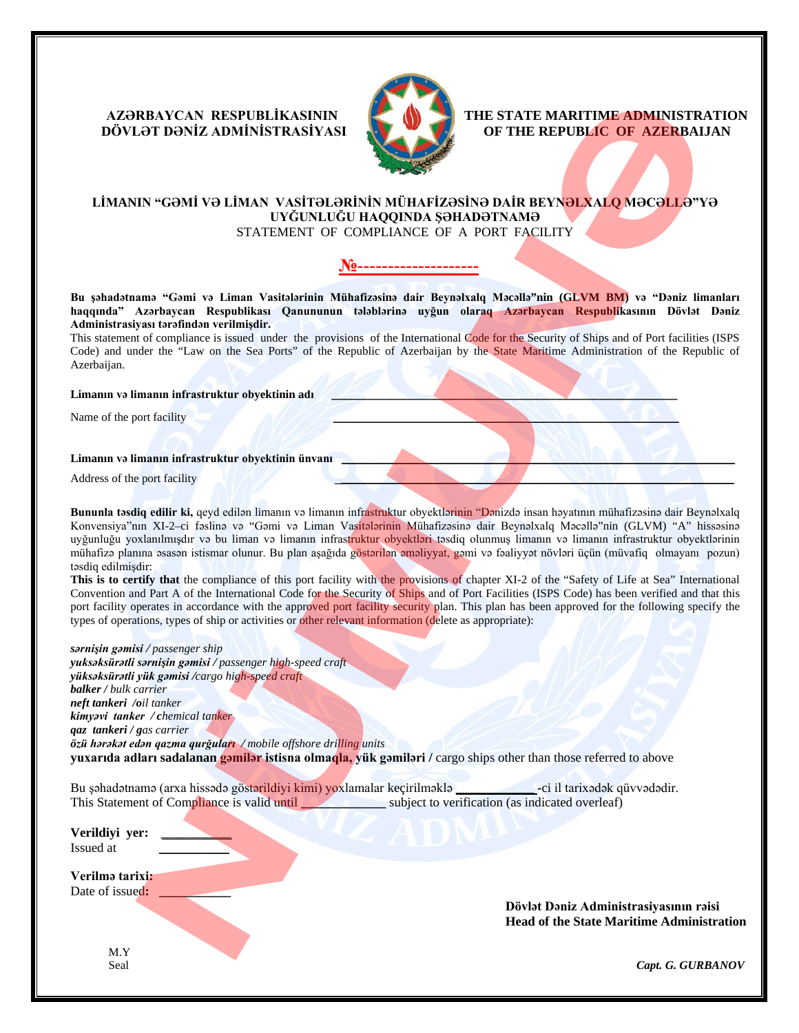# **DÖVLƏT DƏNİZ ADMİNİSTRASİYASI OF THE REPUBLIC OF AZERBAIJAN**



 **AZƏRBAYCAN RESPUBLIKASININ THE STATE MARITIME ADMINISTRATION**<br>DÖVLƏT DƏNIZ ADMINISTRASIYASI

## **LİMANIN "GƏMİ VƏ LİMAN VASİTƏLƏRİNİN MÜHAFİZƏSİNƏ DAİR BEYNƏLXALQ MƏCƏLLƏ"YƏ UYĞUNLUĞU HAQQINDA ŞƏHADƏTNAMƏ**

STATEMENT OF COMPLIANCE OF A PORT FACILITY

#### **№--------------------**

**Bu şəhadətnamə "Gəmi və Liman Vasitələrinin Mühafizəsinə dair Beynəlxalq Məcəllə"nin (GLVM BM) və "Dəniz limanları haqqında" Azərbaycan Respublikası Qanununun tələblərinə uyğun olaraq Azərbaycan Respublikasının Dövlət Dəniz Administrasiyası tərəfindən verilmişdir.**

This statement of compliance is issued under the provisionsof the International Code for the Security of Ships and of Port facilities (ISPS Code) and under the "Law on the Sea Ports" of the Republic of Azerbaijan by the State Maritime Administration of the Republic of Azerbaijan.

#### **Limanın və limanın infrastruktur obyektinin adı \_\_\_\_\_\_\_\_\_\_\_\_\_\_\_\_\_\_\_\_\_\_\_\_\_\_\_\_\_\_\_\_\_\_\_\_\_\_\_\_\_\_\_\_\_\_\_\_\_\_\_\_\_**

Name of the port facility

#### Limanın və limanın infrastruktur obyektinin ünvanı

Address of the port facility

**Bununla təsdiq edilir ki,** qeyd edilən limanın və limanın infrastruktur obyektlərinin "Dənizdə insan həyatının mühafizəsinə dair Beynəlxalq Konvensiya"nın XI-2–ci fəslinə və "Gəmi və Liman Vasitələrinin Mühafizəsinə dair Beynəlxalq Məcəllə"nin (GLVM) "A" hissəsinə uyğunluğu yoxlanılmışdır və bu liman və limanın infrastruktur obyektləri təsdiq olunmuş limanın və limanın infrastruktur obyektlərinin mühafizə planına əsasən istismar olunur. Bu plan aşağıda göstərilən əməliyyat, gəmi və fəaliyyət növləri üçün (müvafiq olmayanı pozun) təsdiq edilmişdir:

This is to certify that the compliance of this port facility with the provisions of chapter XI-2 of the "Safety of Life at Sea" International Convention and Part A of the International Code for the Security of Ships and of Port Facilities (ISPS Code) has been verified and that this port facility operates in accordance with the approved port facility security plan. This plan has been approved for the following specify the types of operations, types of ship or activities or other relevant information (delete as appropriate):

*sərnişin gəmisi / passenger ship yuksəksürətli sərnişin gəmisi / passenger high-speed craft yüksəksürətli yük gəmisi /cargo high-speed craft balker / bulk carrier neft tankeri /oil tanker kimyəvi tanker / chemical tanker qaz tankeri / gas carrier özü hərəkət edən qazma qurğuları / mobile offshore drilling units* **yuxarıda adları sadalanan gəmilər istisna olmaqla, yük gəmiləri /** cargo ships other than those referred to above

Bu şəhadətnamə (arxa hissədə göstərildiyi kimi) yoxlamalar keçirilməklə **\_\_\_\_\_\_\_\_\_\_\_\_ -**ci il tarixədək qüvvədədir. This Statement of Compliance is valid until **with all all control subject** to verification (as indicated overleaf)

**Verildiyi yer:** *\_\_\_\_\_\_\_\_\_\_\_\_* **\_** Issued at *\_\_\_\_\_\_\_\_\_\_\_\_*

**Verilmə tarixi:**  Date of issued:

> **Dövlət Dəniz Administrasiyasının rəisi Head of the State Maritime Administration**

M.Y

Seal *Capt. G. GURBANOV*